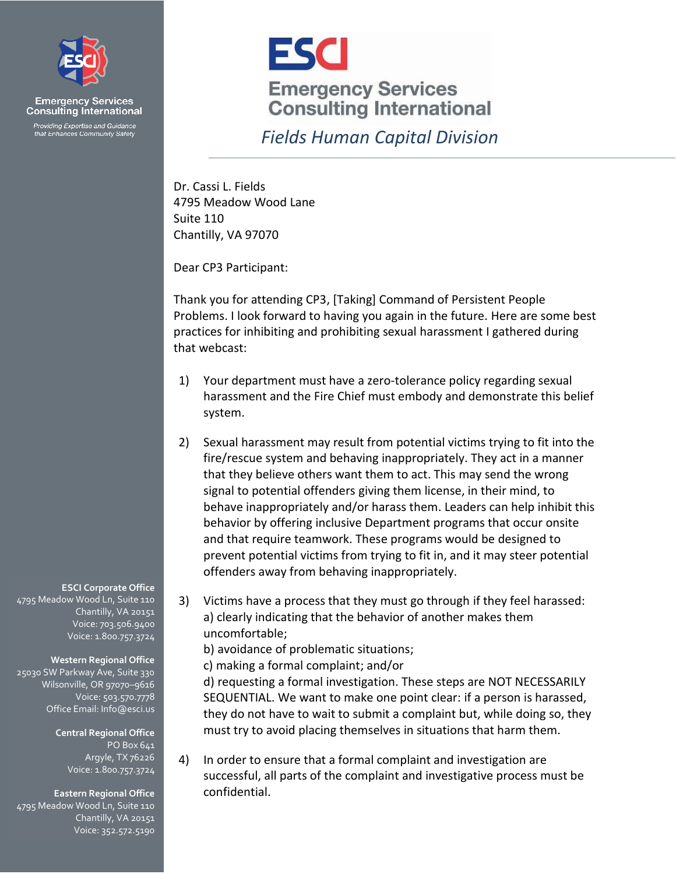

**Emergency Services**<br>Consulting International Providing Expertise and Guidance<br>that Enhances Community Safety



## *Fields Human Capital Division*

Dr. Cassi L. Fields 4795 Meadow Wood Lane Suite 110 Chantilly, VA 97070

Dear CP3 Participant:

Thank you for attending CP3, [Taking] Command of Persistent People Problems. I look forward to having you again in the future. Here are some best practices for inhibiting and prohibiting sexual harassment I gathered during that webcast:

- 1) Your department must have a zero-tolerance policy regarding sexual harassment and the Fire Chief must embody and demonstrate this belief system.
- 2) Sexual harassment may result from potential victims trying to fit into the fire/rescue system and behaving inappropriately. They act in a manner that they believe others want them to act. This may send the wrong signal to potential offenders giving them license, in their mind, to behave inappropriately and/or harass them. Leaders can help inhibit this behavior by offering inclusive Department programs that occur onsite and that require teamwork. These programs would be designed to prevent potential victims from trying to fit in, and it may steer potential offenders away from behaving inappropriately.
- 3) Victims have a process that they must go through if they feel harassed: a) clearly indicating that the behavior of another makes them uncomfortable;
	- b) avoidance of problematic situations;
	- c) making a formal complaint; and/or

d) requesting a formal investigation. These steps are NOT NECESSARILY SEQUENTIAL. We want to make one point clear: if a person is harassed, they do not have to wait to submit a complaint but, while doing so, they must try to avoid placing themselves in situations that harm them.

4) In order to ensure that a formal complaint and investigation are successful, all parts of the complaint and investigative process must be confidential.

## **ESCI Corporate Office**

4795 Meadow Wood Ln, Suite 110 Chantilly, VA 20151 Voice: 703.506.9400 Voice: 1.800.757.3724

## **Western Regional Office**

25030 SW Parkway Ave, Suite 330 Wilsonville, OR 97070-9616 Voice: 503.570.7778 Office Email: Info@esci.us

> **Central Regional Office** PO Box 641 Argyle, TX 76226 Voice: 1.800.757.3724

## **Eastern Regional Office**

4795 Meadow Wood Ln, Suite 110 Chantilly, VA 20151 Voice: 352.572.5190